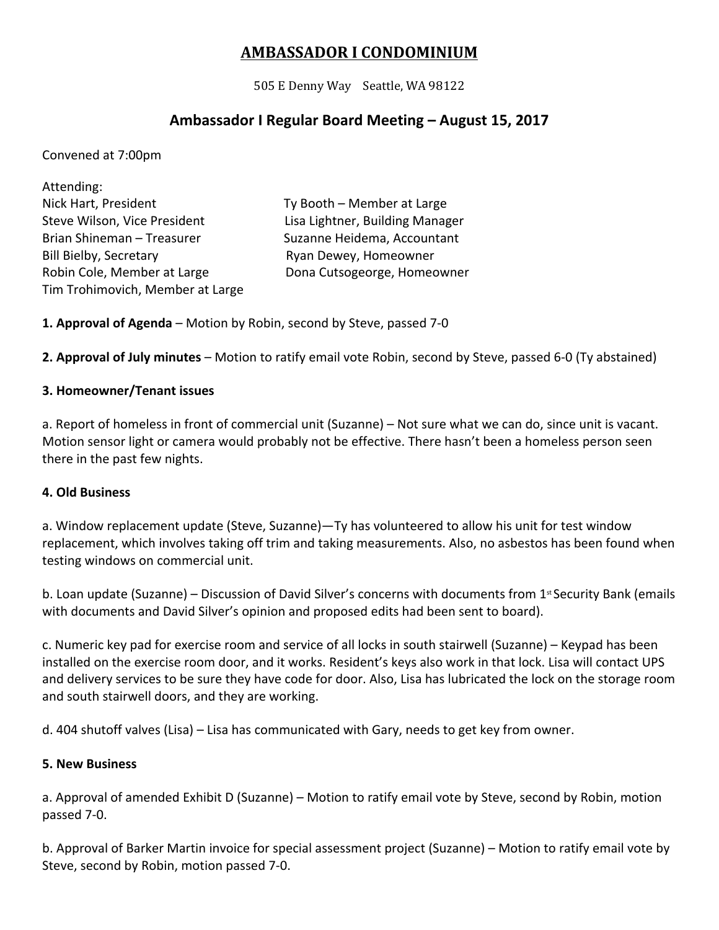# **AMBASSADOR I CONDOMINIUM**

505 E Denny Way Seattle, WA 98122

# **Ambassador I Regular Board Meeting – August 15, 2017**

Convened at 7:00pm

| Attending:                       |                                 |
|----------------------------------|---------------------------------|
| Nick Hart, President             | Ty Booth – Member at Large      |
| Steve Wilson, Vice President     | Lisa Lightner, Building Manager |
| Brian Shineman - Treasurer       | Suzanne Heidema, Accountant     |
| <b>Bill Bielby, Secretary</b>    | Ryan Dewey, Homeowner           |
| Robin Cole, Member at Large      | Dona Cutsogeorge, Homeowner     |
| Tim Trohimovich, Member at Large |                                 |

**1. Approval of Agenda** – Motion by Robin, second by Steve, passed 7-0

**2. Approval of July minutes** – Motion to ratify email vote Robin, second by Steve, passed 6-0 (Ty abstained)

## **3. Homeowner/Tenant issues**

a. Report of homeless in front of commercial unit (Suzanne) – Not sure what we can do, since unit is vacant. Motion sensor light or camera would probably not be effective. There hasn't been a homeless person seen there in the past few nights.

#### **4. Old Business**

a. Window replacement update (Steve, Suzanne)—Ty has volunteered to allow his unit for test window replacement, which involves taking off trim and taking measurements. Also, no asbestos has been found when testing windows on commercial unit.

b. Loan update (Suzanne) – Discussion of David Silver's concerns with documents from 1<sup>st</sup> Security Bank (emails with documents and David Silver's opinion and proposed edits had been sent to board).

c. Numeric key pad for exercise room and service of all locks in south stairwell (Suzanne) – Keypad has been installed on the exercise room door, and it works. Resident's keys also work in that lock. Lisa will contact UPS and delivery services to be sure they have code for door. Also, Lisa has lubricated the lock on the storage room and south stairwell doors, and they are working.

d. 404 shutoff valves (Lisa) – Lisa has communicated with Gary, needs to get key from owner.

# **5. New Business**

a. Approval of amended Exhibit D (Suzanne) – Motion to ratify email vote by Steve, second by Robin, motion passed 7-0.

b. Approval of Barker Martin invoice for special assessment project (Suzanne) – Motion to ratify email vote by Steve, second by Robin, motion passed 7-0.